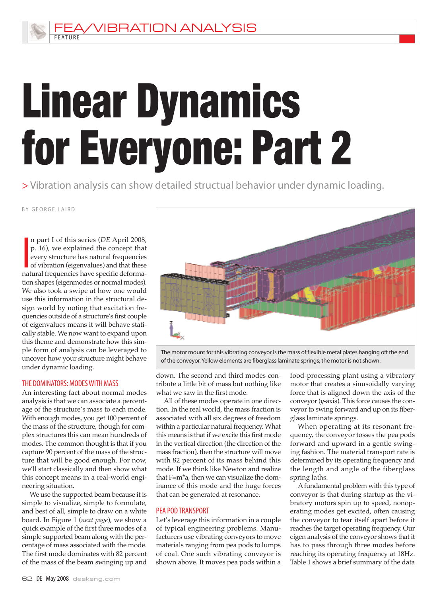**VIBRATION ANALYSIS** 

# Linear Dynamics for Everyone: Part 2

> Vibration analysis can show detailed structual behavior under dynamic loading.

BY GEORGE LAIRD

**FFATURE** 

**I**<br> **I**<br> **I**<br> **I**<br> **I**<br> **I** n part I of this series (*DE* April 2008, p. 16), we explained the concept that every structure has natural frequencies of vibration (eigenvalues) and that these natural frequencies have specific deformation shapes (eigenmodes or normal modes). We also took a swipe at how one would use this information in the structural design world by noting that excitation frequencies outside of a structure's first couple of eigenvalues means it will behave statically stable. We now want to expand upon this theme and demonstrate how this simple form of analysis can be leveraged to uncover how your structure might behave under dynamic loading.

#### THE DOMINATORS: MODES WITH MASS

An interesting fact about normal modes analysis is that we can associate a percentage of the structure's mass to each mode. With enough modes, you get 100 percent of the mass of the structure, though for complex structures this can mean hundreds of modes. The common thought is that if you capture 90 percent of the mass of the structure that will be good enough. For now, we'll start classically and then show what this concept means in a real-world engineering situation.

We use the supported beam because it is simple to visualize, simple to formulate, and best of all, simple to draw on a white board. In Figure 1 (*next page*), we show a quick example of the first three modes of a simple supported beam along with the percentage of mass associated with the mode. The first mode dominates with 82 percent of the mass of the beam swinging up and



The motor mount for this vibrating conveyor is the mass of flexible metal plates hanging off the end of the conveyor.Yellow elements are fiberglasslaminate springs; the motor is notshown.

down. The second and third modes contribute a little bit of mass but nothing like what we saw in the first mode.

All of these modes operate in one direction. In the real world, the mass fraction is associated with all six degrees of freedom within a particular natural frequency. What this means is that if we excite this first mode in the vertical direction (the direction of the mass fraction), then the structure will move with 82 percent of its mass behind this mode. If we think like Newton and realize that F=m\*a, then we can visualize the dominance of this mode and the huge forces that can be generated at resonance.

#### PEA PODTRANSPORT

Let's leverage this information in a couple of typical engineering problems. Manufacturers use vibrating conveyors to move materials ranging from pea pods to lumps of coal. One such vibrating conveyor is shown above. It moves pea pods within a

food-processing plant using a vibratory motor that creates a sinusoidally varying force that is aligned down the axis of the conveyor(*y*-axis). This force causes the conveyor to swing forward and up on its fiberglass laminate springs.

When operating at its resonant frequency, the conveyor tosses the pea pods forward and upward in a gentle swinging fashion. The material transport rate is determined by its operating frequency and the length and angle of the fiberglass spring laths.

Afundamental problem with this type of conveyor is that during startup as the vibratory motors spin up to speed, nonoperating modes get excited, often causing the conveyor to tear itself apart before it reaches the target operating frequency. Our eigen analysis of the conveyor shows that it has to pass through three modes before reaching its operating frequency at 18Hz. Table 1 shows a brief summary of the data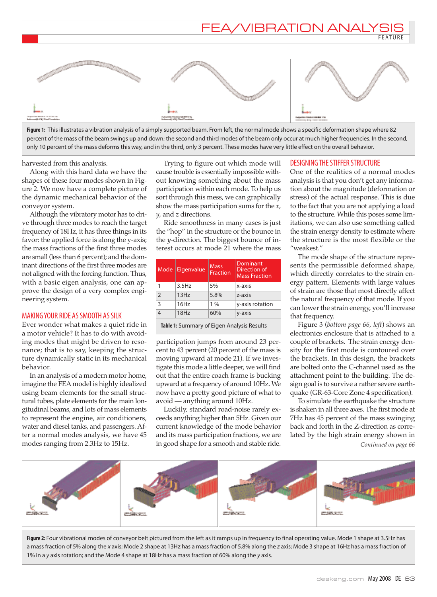## EA/VIBRATION ANALY

**FEATURE** 



**Figure 1:** This illustrates a vibration analysis of a simply supported beam. From left, the normal mode shows a specific deformation shape where 82 percent of the mass of the beam swings up and down; the second and third modes of the beam only occur at much higher frequencies. In the second, only 10 percent of the mass deforms this way, and in the third, only 3 percent. These modes have very little effect on the overall behavior.

harvested from this analysis.

Along with this hard data we have the shapes of these four modes shown in Figure 2. We now have a complete picture of the dynamic mechanical behavior of the conveyor system.

Although the vibratory motor has to drive through three modes to reach the target frequency of 18Hz, it has three things in its favor: the applied force is along the y-axis; the mass fractions of the first three modes are small (less than 6 percent); and the dominant directions of the first three modes are not aligned with the forcing function. Thus, with a basic eigen analysis, one can approve the design of a very complex engineering system.

#### MAKING YOUR RIDE AS SMOOTH AS SILK

Ever wonder what makes a quiet ride in a motor vehicle? It has to do with avoiding modes that might be driven to resonance; that is to say, keeping the structure dynamically static in its mechanical behavior.

In an analysis of a modern motor home, imagine the FEAmodel is highly idealized using beam elements for the small structural tubes, plate elements for the main longitudinal beams, and lots of mass elements to represent the engine, air conditioners, water and diesel tanks, and passengers.After a normal modes analysis, we have 45 modes ranging from 2.3Hz to 15Hz.

Trying to figure out which mode will cause trouble is essentially impossible without knowing something about the mass participation within each mode. To help us sort through this mess, we can graphically show the mass participation sums for the *x*, *y*, and *z* directions.

Ride smoothness in many cases is just the "hop" in the structure or the bounce in the *y*-direction. The biggest bounce of interest occurs at mode 21 where the mass

| Mode                                       | Eigenvalue | <b>Mass</b><br><b>Fraction</b> | Dominant<br>Direction of<br><b>Mass Fraction</b> |
|--------------------------------------------|------------|--------------------------------|--------------------------------------------------|
| 1                                          | $3.5$ Hz   | 5%                             | x-axis                                           |
| $\overline{2}$                             | 13Hz       | 5.8%                           | z-axis                                           |
| 3                                          | 16Hz       | 1%                             | y-axis rotation                                  |
| $\overline{4}$                             | 18Hz       | 60%                            | y-axis                                           |
| Table 1: Summary of Eigen Analysis Results |            |                                |                                                  |

participation jumps from around 23 percent to 43 percent (20 percent of the mass is moving upward at mode 21). If we investigate this mode a little deeper, we will find out that the entire coach frame is bucking upward at a frequency of around 10Hz. We now have a pretty good picture of what to avoid — anything around 10Hz.

Luckily, standard road-noise rarely exceeds anything higher than 5Hz. Given our current knowledge of the mode behavior and its mass participation fractions, we are in good shape for a smooth and stable ride.

#### DESIGNING THE STIFFER STRUCTURE

One of the realities of a normal modes analysis is that you don't get any information about the magnitude (deformation or stress) of the actual response. This is due to the fact that you are not applying a load to the structure. While this poses some limitations, we can also use something called the strain energy density to estimate where the structure is the most flexible or the "weakest."

The mode shape of the structure represents the permissible deformed shape, which directly correlates to the strain energy pattern. Elements with large values of strain are those that most directly affect the natural frequency of that mode. If you can lower the strain energy, you'll increase that frequency.

Figure 3 (*bottom page 66, left*) shows an electronics enclosure that is attached to a couple of brackets. The strain energy density for the first mode is contoured over the brackets. In this design, the brackets are bolted onto the C-channel used as the attachment point to the building. The design goal is to survive a rather severe earthquake (GR-63-Core Zone 4 specification).

To simulate the earthquake the structure is shaken in all three axes. The first mode at 7Hz has 45 percent of the mass swinging back and forth in the Z-direction as correlated by the high strain energy shown in *Continued on page 66*



**Figure 2:** Four vibrational modes of conveyor belt pictured from the left as it ramps up in frequency to final operating value. Mode 1 shape at 3.5Hz has a mass fraction of 5% along the x axis; Mode 2 shape at 13Hz has a mass fraction of 5.8% along the z axis; Mode 3 shape at 16Hz has a mass fraction of 1% in a y axis rotation; and the Mode 4 shape at 18Hz has a mass fraction of 60% along the y axis.